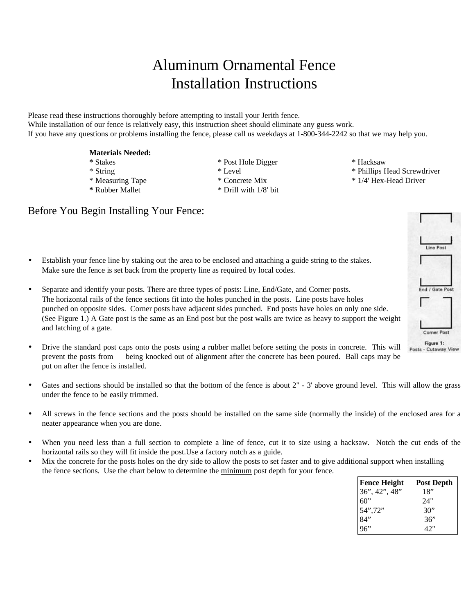# Aluminum Ornamental Fence Installation Instructions

Please read these instructions thoroughly before attempting to install your Jerith fence. While installation of our fence is relatively easy, this instruction sheet should eliminate any guess work. If you have any questions or problems installing the fence, please call us weekdays at 1-800-344-2242 so that we may help you.

#### **Materials Needed:**

- 
- 
- 
- 
- **\*** Stakes \* Post Hole Digger \* Hacksaw
- **\*** Rubber Mallet \* Drill with 1/8' bit
- 
- \* String \* Level \* Level \* Phillips Head Screwdriver
- \* Measuring Tape \* Concrete Mix \* 1/4' Hex-Head Driver
- Before You Begin Installing Your Fence:
- Establish your fence line by staking out the area to be enclosed and attaching a guide string to the stakes. Make sure the fence is set back from the property line as required by local codes.
- Separate and identify your posts. There are three types of posts: Line, End/Gate, and Corner posts. The horizontal rails of the fence sections fit into the holes punched in the posts. Line posts have holes punched on opposite sides. Corner posts have adjacent sides punched. End posts have holes on only one side. (See Figure 1.) A Gate post is the same as an End post but the post walls are twice as heavy to support the weight and latching of a gate.
- Drive the standard post caps onto the posts using a rubber mallet before setting the posts in concrete. This will prevent the posts from being knocked out of alignment after the concrete has been poured. Ball caps may be put on after the fence is installed.
- Gates and sections should be installed so that the bottom of the fence is about  $2"$  3' above ground level. This will allow the grass under the fence to be easily trimmed.
- All screws in the fence sections and the posts should be installed on the same side (normally the inside) of the enclosed area for a neater appearance when you are done.
- When you need less than a full section to complete a line of fence, cut it to size using a hacksaw. Notch the cut ends of the horizontal rails so they will fit inside the post.Use a factory notch as a guide.
- Mix the concrete for the posts holes on the dry side to allow the posts to set faster and to give additional support when installing the fence sections. Use the chart below to determine the minimum post depth for your fence.

| <b>Fence Height</b><br>36", 42", 48"<br>60"<br>54",72"<br>84"<br>96" | <b>Post Depth</b> |
|----------------------------------------------------------------------|-------------------|
|                                                                      | 18"               |
|                                                                      | 24"               |
|                                                                      | 30"               |
|                                                                      | 36"               |
|                                                                      | 42"               |

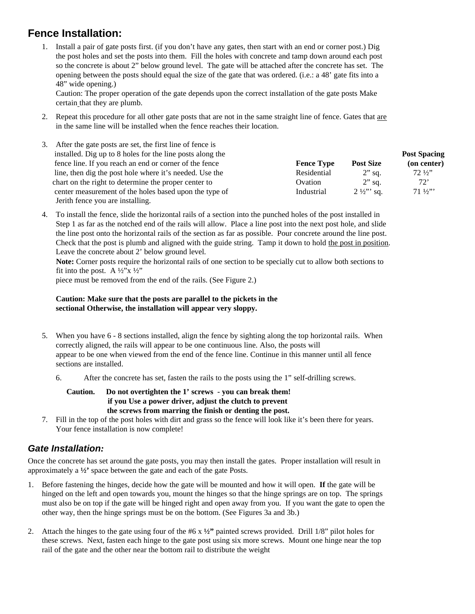## **Fence Installation:**

1. Install a pair of gate posts first. (if you don't have any gates, then start with an end or corner post.) Dig the post holes and set the posts into them. Fill the holes with concrete and tamp down around each post so the concrete is about 2" below ground level. The gate will be attached after the concrete has set. The opening between the posts should equal the size of the gate that was ordered. (i.e.: a 48' gate fits into a 48" wide opening.)

Caution: The proper operation of the gate depends upon the correct installation of the gate posts Make certain that they are plumb.

2. Repeat this procedure for all other gate posts that are not in the same straight line of fence. Gates that are in the same line will be installed when the fence reaches their location.

| After the gate posts are set, the first line of fence is<br>3. |                   |                    |                     |
|----------------------------------------------------------------|-------------------|--------------------|---------------------|
| installed. Dig up to 8 holes for the line posts along the      |                   |                    | <b>Post Spacing</b> |
| fence line. If you reach an end or corner of the fence         | <b>Fence Type</b> | <b>Post Size</b>   | (on center)         |
| line, then dig the post hole where it's needed. Use the        | Residential       | $2$ " sq.          | $72\frac{1}{2}$     |
| chart on the right to determine the proper center to           | Ovation           | $2$ " sq.          | 72'                 |
| center measurement of the holes based upon the type of         | Industrial        | $2\frac{1}{2}$ sq. | $71\frac{1}{2}$     |
| Jerith fence you are installing.                               |                   |                    |                     |

4. To install the fence, slide the horizontal rails of a section into the punched holes of the post installed in Step 1 as far as the notched end of the rails will allow. Place a line post into the next post hole, and slide the line post onto the horizontal rails of the section as far as possible. Pour concrete around the line post. Check that the post is plumb and aligned with the guide string. Tamp it down to hold the post in position. Leave the concrete about 2' below ground level.

 **Note:** Corner posts require the horizontal rails of one section to be specially cut to allow both sections to fit into the post. A  $\frac{1}{2}$ "x  $\frac{1}{2}$ "

piece must be removed from the end of the rails. (See Figure 2.)

#### **Caution: Make sure that the posts are parallel to the pickets in the sectional Otherwise, the installation will appear very sloppy.**

- 5. When you have 6 8 sections installed, align the fence by sighting along the top horizontal rails. When correctly aligned, the rails will appear to be one continuous line. Also, the posts will appear to be one when viewed from the end of the fence line. Continue in this manner until all fence sections are installed.
	- 6. After the concrete has set, fasten the rails to the posts using the 1" self-drilling screws.

#### **Caution. Do not overtighten the 1' screws - you can break them! if you Use a power driver, adjust the clutch to prevent the screws from marring the finish or denting the post.**

7. Fill in the top of the post holes with dirt and grass so the fence will look like it's been there for years. Your fence installation is now complete!

### *Gate Installation:*

Once the concrete has set around the gate posts, you may then install the gates. Proper installation will result in approximately a **½'** space between the gate and each of the gate Posts.

- 1. Before fastening the hinges, decide how the gate will be mounted and how it will open. **If** the gate will be hinged on the left and open towards you, mount the hinges so that the hinge springs are on top. The springs must also be on top if the gate will be hinged right and open away from you. If you want the gate to open the other way, then the hinge springs must be on the bottom. (See Figures 3a and 3b.)
- 2. Attach the hinges to the gate using four of the #6 x **½"** painted screws provided. Drill 1/8" pilot holes for these screws. Next, fasten each hinge to the gate post using six more screws. Mount one hinge near the top rail of the gate and the other near the bottom rail to distribute the weight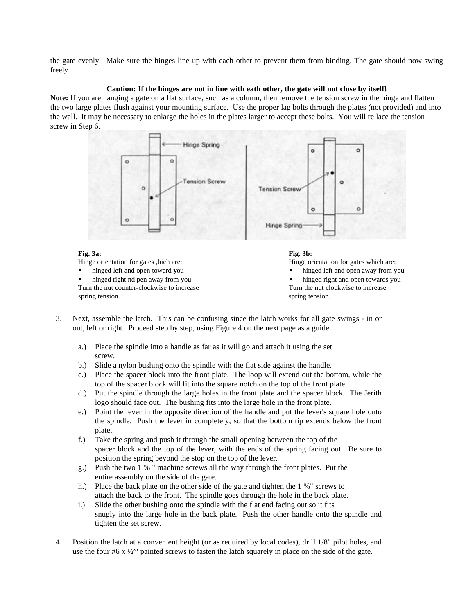the gate evenly. Make sure the hinges line up with each other to prevent them from binding. The gate should now swing freely.

#### **Caution: If the hinges are not in line with eath other, the gate will not close by itself!**

**Note:** If you are hanging a gate on a flat surface, such as a column, then remove the tension screw in the hinge and flatten the two large plates flush against your mounting surface. Use the proper lag bolts through the plates (not provided) and into the wall. It may be necessary to enlarge the holes in the plates larger to accept these bolts. You will re lace the tension screw in Step 6.



#### **Fig. 3a:**

Hinge orientation for gates ,hich are:

- hinged left and open toward **y**ou
- hinged right nd pen away from you

Turn the nut counter-clockwise to increase spring tension.



Hinge orientation for gates which are:

- hinged left and open away from you
- hinged right and open towards you Turn the nut clockwise to increase spring tension.
- 3. Next, assemble the latch. This can be confusing since the latch works for all gate swings in or out, left or right. Proceed step by step, using Figure 4 on the next page as a guide.
	- a.) Place the spindle into a handle as far as it will go and attach it using the set screw.
	- b.) Slide a nylon bushing onto the spindle with the flat side against the handle.
	- c.) Place the spacer block into the front plate. The loop will extend out the bottom, while the top of the spacer block will fit into the square notch on the top of the front plate.
	- d.) Put the spindle through the large holes in the front plate and the spacer block. The Jerith logo should face out. The bushing fits into the large hole in the front plate.
	- e.) Point the lever in the opposite direction of the handle and put the lever's square hole onto the spindle. Push the lever in completely, so that the bottom tip extends below the front plate.
	- f.) Take the spring and push it through the small opening between the top of the spacer block and the top of the lever, with the ends of the spring facing out. Be sure to position the spring beyond the stop on the top of the lever.
	- g.) Push the two 1 % " machine screws all the way through the front plates. Put the entire assembly on the side of the gate.
	- h.) Place the back plate on the other side of the gate and tighten the 1 %" screws to attach the back to the front. The spindle goes through the hole in the back plate.
	- i.) Slide the other bushing onto the spindle with the flat end facing out so it fits snugly into the large hole in the back plate. Push the other handle onto the spindle and tighten the set screw.
- 4. Position the latch at a convenient height (or as required by local codes), drill 1/8" pilot holes, and use the four  $#6 x \frac{1}{2}$ " painted screws to fasten the latch squarely in place on the side of the gate.